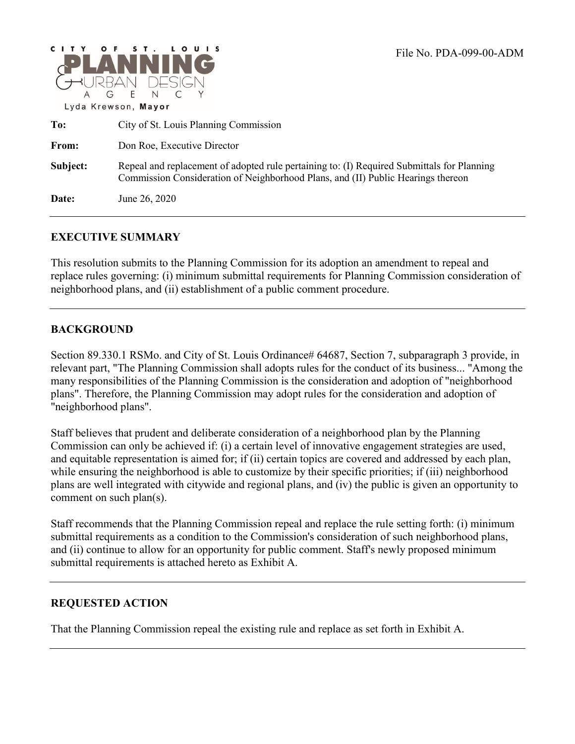

**To:** City of St. Louis Planning Commission From: Don Roe, Executive Director **Subject:** Repeal and replacement of adopted rule pertaining to: (I) Required Submittals for Planning Commission Consideration of Neighborhood Plans, and (II) Public Hearings thereon **Date:** June 26, 2020

#### **EXECUTIVE SUMMARY**

This resolution submits to the Planning Commission for its adoption an amendment to repeal and replace rules governing: (i) minimum submittal requirements for Planning Commission consideration of neighborhood plans, and (ii) establishment of a public comment procedure.

#### **BACKGROUND**

Section 89.330.1 RSMo. and City of St. Louis Ordinance# 64687, Section 7, subparagraph 3 provide, in relevant part, "The Planning Commission shall adopts rules for the conduct of its business... "Among the many responsibilities of the Planning Commission is the consideration and adoption of "neighborhood plans". Therefore, the Planning Commission may adopt rules for the consideration and adoption of "neighborhood plans".

Staff believes that prudent and deliberate consideration of a neighborhood plan by the Planning Commission can only be achieved if: (i) a certain level of innovative engagement strategies are used, and equitable representation is aimed for; if (ii) certain topics are covered and addressed by each plan, while ensuring the neighborhood is able to customize by their specific priorities; if (iii) neighborhood plans are well integrated with citywide and regional plans, and (iv) the public is given an opportunity to comment on such plan(s).

Staff recommends that the Planning Commission repeal and replace the rule setting forth: (i) minimum submittal requirements as a condition to the Commission's consideration of such neighborhood plans, and (ii) continue to allow for an opportunity for public comment. Staff's newly proposed minimum submittal requirements is attached hereto as Exhibit A.

#### **REQUESTED ACTION**

That the Planning Commission repeal the existing rule and replace as set forth in Exhibit A.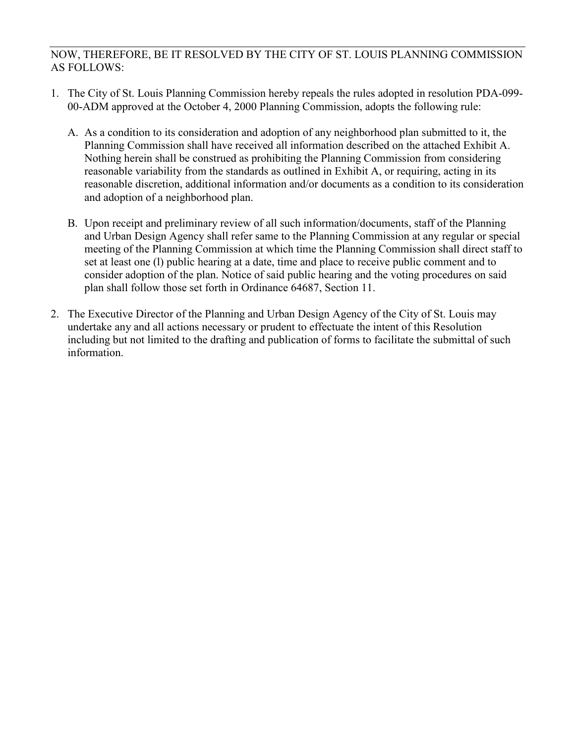#### NOW, THEREFORE, BE IT RESOLVED BY THE CITY OF ST. LOUIS PLANNING COMMISSION AS FOLLOWS:

- 1. The City of St. Louis Planning Commission hereby repeals the rules adopted in resolution PDA-099- 00-ADM approved at the October 4, 2000 Planning Commission, adopts the following rule:
	- A. As a condition to its consideration and adoption of any neighborhood plan submitted to it, the Planning Commission shall have received all information described on the attached Exhibit A. Nothing herein shall be construed as prohibiting the Planning Commission from considering reasonable variability from the standards as outlined in Exhibit A, or requiring, acting in its reasonable discretion, additional information and/or documents as a condition to its consideration and adoption of a neighborhood plan.
	- B. Upon receipt and preliminary review of all such information/documents, staff of the Planning and Urban Design Agency shall refer same to the Planning Commission at any regular or special meeting of the Planning Commission at which time the Planning Commission shall direct staff to set at least one (l) public hearing at a date, time and place to receive public comment and to consider adoption of the plan. Notice of said public hearing and the voting procedures on said plan shall follow those set forth in Ordinance 64687, Section 11.
- 2. The Executive Director of the Planning and Urban Design Agency of the City of St. Louis may undertake any and all actions necessary or prudent to effectuate the intent of this Resolution including but not limited to the drafting and publication of forms to facilitate the submittal of such information.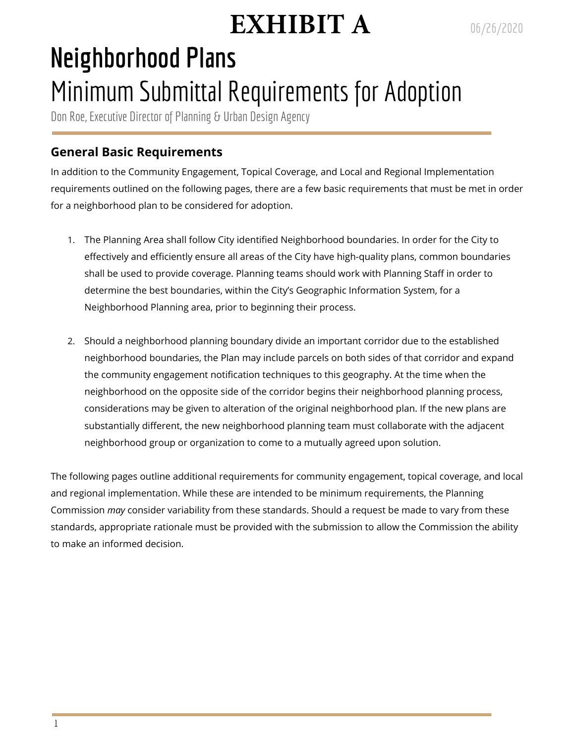# **EXHIBIT A**

# **Neighborhood Plans** Minimum Submittal Requirements for Adoption

Don Roe, Executive Director of Planning & Urban Design Agency

# **General Basic Requirements**

In addition to the Community Engagement, Topical Coverage, and Local and Regional Implementation requirements outlined on the following pages, there are a few basic requirements that must be met in order for a neighborhood plan to be considered for adoption.

- 1. The Planning Area shall follow City identified Neighborhood boundaries. In order for the City to effectively and efficiently ensure all areas of the City have high-quality plans, common boundaries shall be used to provide coverage. Planning teams should work with Planning Staff in order to determine the best boundaries, within the City's Geographic Information System, for a Neighborhood Planning area, prior to beginning their process.
- 2. Should a neighborhood planning boundary divide an important corridor due to the established neighborhood boundaries, the Plan may include parcels on both sides of that corridor and expand the community engagement notification techniques to this geography. At the time when the neighborhood on the opposite side of the corridor begins their neighborhood planning process, considerations may be given to alteration of the original neighborhood plan. If the new plans are substantially different, the new neighborhood planning team must collaborate with the adjacent neighborhood group or organization to come to a mutually agreed upon solution.

The following pages outline additional requirements for community engagement, topical coverage, and local and regional implementation. While these are intended to be minimum requirements, the Planning Commission *may* consider variability from these standards. Should a request be made to vary from these standards, appropriate rationale must be provided with the submission to allow the Commission the ability to make an informed decision.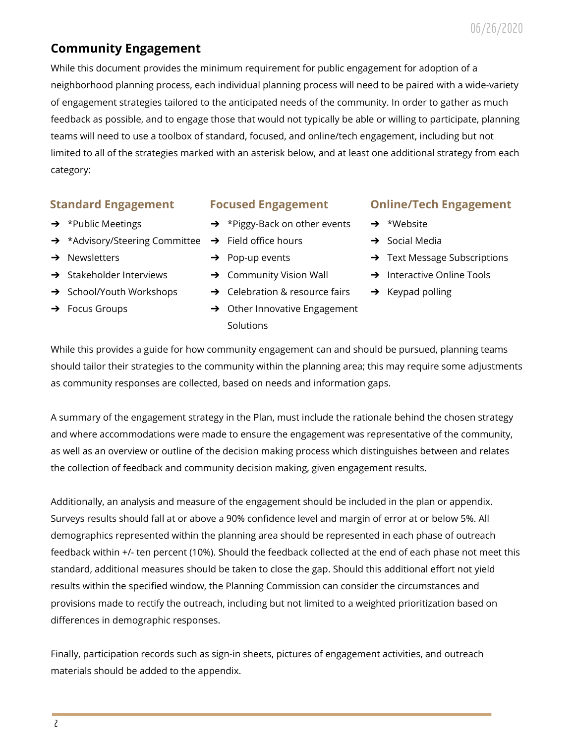# **Community Engagement**

While this document provides the minimum requirement for public engagement for adoption of a neighborhood planning process, each individual planning process will need to be paired with a wide-variety of engagement strategies tailored to the anticipated needs of the community. In order to gather as much feedback as possible, and to engage those that would not typically be able or willing to participate, planning teams will need to use a toolbox of standard, focused, and online/tech engagement, including but not limited to all of the strategies marked with an asterisk below, and at least one additional strategy from each category:

### **Standard Engagement**

- **→** \*Public Meetings
- → \*Advisory/Steering Committee → Field office hours
- **→** Newsletters
- $\rightarrow$  Stakeholder Interviews
- **→** School/Youth Workshops
- → Focus Groups

### **Focused Engagement**

- ➔ \*Piggy-Back on other events
- 
- $\rightarrow$  Pop-up events
- $\rightarrow$  Community Vision Wall
- **→** Celebration & resource fairs
- $\rightarrow$  Other Innovative Engagement **Solutions**

## **Online/Tech Engagement**

- ➔ \*Website
- $\rightarrow$  Social Media
- **→** Text Message Subscriptions
- **→** Interactive Online Tools
- $\rightarrow$  Keypad polling

While this provides a guide for how community engagement can and should be pursued, planning teams should tailor their strategies to the community within the planning area; this may require some adjustments as community responses are collected, based on needs and information gaps.

A summary of the engagement strategy in the Plan, must include the rationale behind the chosen strategy and where accommodations were made to ensure the engagement was representative of the community, as well as an overview or outline of the decision making process which distinguishes between and relates the collection of feedback and community decision making, given engagement results.

Additionally, an analysis and measure of the engagement should be included in the plan or appendix. Surveys results should fall at or above a 90% confidence level and margin of error at or below 5%. All demographics represented within the planning area should be represented in each phase of outreach feedback within +/- ten percent (10%). Should the feedback collected at the end of each phase not meet this standard, additional measures should be taken to close the gap. Should this additional effort not yield results within the specified window, the Planning Commission can consider the circumstances and provisions made to rectify the outreach, including but not limited to a weighted prioritization based on differences in demographic responses.

Finally, participation records such as sign-in sheets, pictures of engagement activities, and outreach materials should be added to the appendix.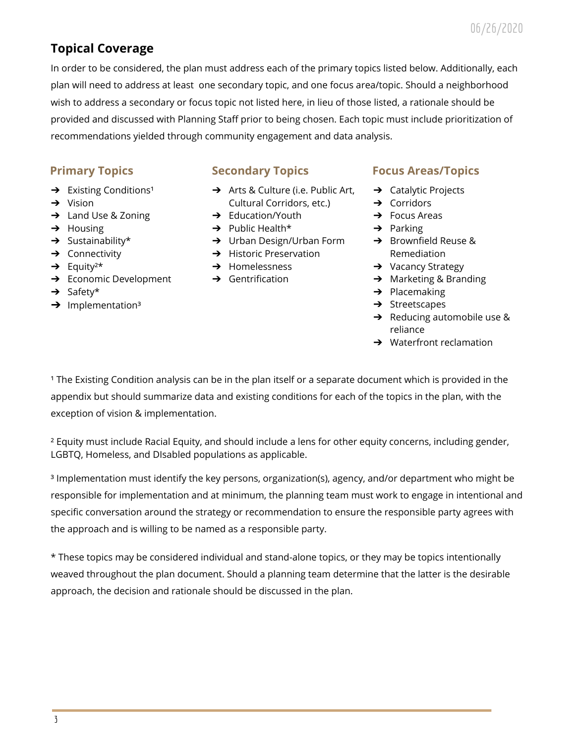# **Topical Coverage**

In order to be considered, the plan must address each of the primary topics listed below. Additionally, each plan will need to address at least one secondary topic, and one focus area/topic. Should a neighborhood wish to address a secondary or focus topic not listed here, in lieu of those listed, a rationale should be provided and discussed with Planning Staff prior to being chosen. Each topic must include prioritization of recommendations yielded through community engagement and data analysis.

## **Primary Topics**

- $\rightarrow$  Existing Conditions<sup>1</sup>
- ➔ Vision
- ➔ Land Use & Zoning
- $\rightarrow$  Housing
- $\rightarrow$  Sustainability\*
- **→** Connectivity
- $\rightarrow$  Equity<sup>2\*</sup>
- **→** Economic Development
- ➔ Safety\*
- $\rightarrow$  Implementation<sup>3</sup>

## **Secondary Topics**

- ➔ Arts & Culture (i.e. Public Art, Cultural Corridors, etc.)
- $\rightarrow$  Education/Youth
- $\rightarrow$  Public Health\*
- ➔ Urban Design/Urban Form ➔ Brownfield Reuse &
- **→** Historic Preservation
- $\rightarrow$  Homelessness
- $\rightarrow$  Gentrification

### **Focus Areas/Topics**

- ➔ Catalytic Projects
- ➔ Corridors
- $\rightarrow$  Focus Areas
- $\rightarrow$  Parking
- Remediation
- **→** Vacancy Strategy
- ➔ Marketing & Branding
- $\rightarrow$  Placemaking
- $\rightarrow$  Streetscapes
- ➔ Reducing automobile use & reliance
- $\rightarrow$  Waterfront reclamation

<sup>1</sup> The Existing Condition analysis can be in the plan itself or a separate document which is provided in the appendix but should summarize data and existing conditions for each of the topics in the plan, with the exception of vision & implementation.

² Equity must include Racial Equity, and should include a lens for other equity concerns, including gender, LGBTQ, Homeless, and DIsabled populations as applicable.

³ Implementation must identify the key persons, organization(s), agency, and/or department who might be responsible for implementation and at minimum, the planning team must work to engage in intentional and specific conversation around the strategy or recommendation to ensure the responsible party agrees with the approach and is willing to be named as a responsible party.

\* These topics may be considered individual and stand-alone topics, or they may be topics intentionally weaved throughout the plan document. Should a planning team determine that the latter is the desirable approach, the decision and rationale should be discussed in the plan.